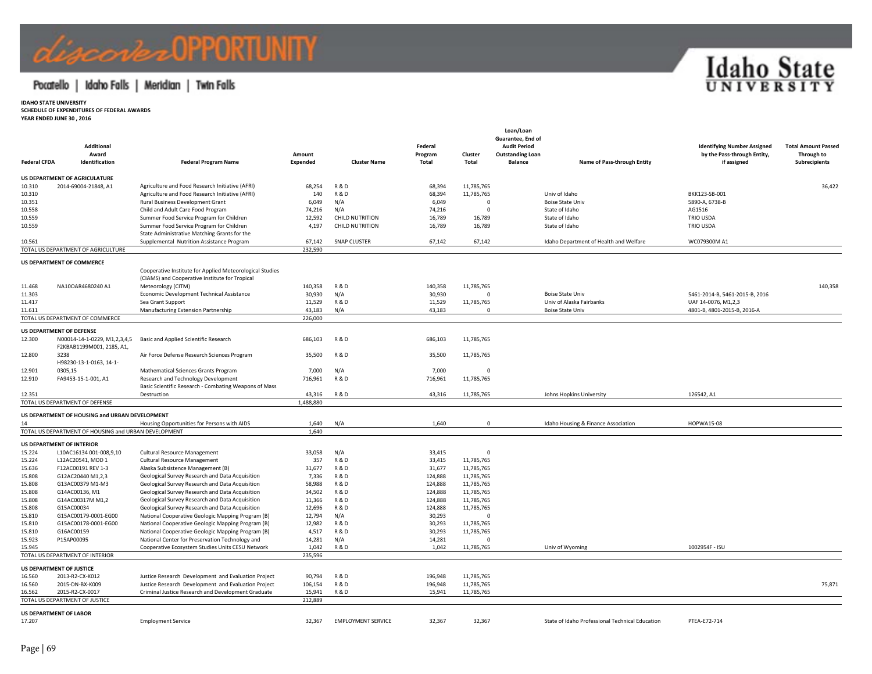### Pocatello | Idaho Falls | Meridian | Twin Falls



**YEAR ENDED JUNE 30 , 2016**

| <b>Federal CFDA</b> | Additional<br>Award<br>Identification                    | <b>Federal Program Name</b>                                       | Amount<br>Expended | <b>Cluster Name</b>       | Federal<br>Program<br>Total | Cluster<br><b>Total</b>  | Loan/Loan<br>Guarantee, End of<br><b>Audit Period</b><br><b>Outstanding Loan</b><br><b>Balance</b> | Name of Pass-through Entity                     | <b>Identifying Number Assigned</b><br>by the Pass-through Entity,<br>if assigned | <b>Total Amount Passed</b><br>Through to<br>Subrecipients |
|---------------------|----------------------------------------------------------|-------------------------------------------------------------------|--------------------|---------------------------|-----------------------------|--------------------------|----------------------------------------------------------------------------------------------------|-------------------------------------------------|----------------------------------------------------------------------------------|-----------------------------------------------------------|
|                     | <b>US DEPARTMENT OF AGRICULATURE</b>                     |                                                                   |                    |                           |                             |                          |                                                                                                    |                                                 |                                                                                  |                                                           |
| 10.310              | 2014-69004-21848, A1                                     | Agriculture and Food Research Initiative (AFRI)                   | 68,254             | <b>R&amp;D</b>            | 68,394                      | 11,785,765               |                                                                                                    |                                                 |                                                                                  | 36,422                                                    |
| 10.310              |                                                          | Agriculture and Food Research Initiative (AFRI)                   | 140                | <b>R&amp;D</b>            | 68,394                      | 11,785,765               |                                                                                                    | Univ of Idaho                                   | BKK123-SB-001                                                                    |                                                           |
| 10.351              |                                                          | Rural Business Development Grant                                  | 6,049              | N/A                       | 6,049                       | $\Omega$                 |                                                                                                    | <b>Boise State Univ</b>                         | 5890-A, 6738-B                                                                   |                                                           |
| 10.558              |                                                          | Child and Adult Care Food Program                                 | 74,216             | N/A                       | 74,216                      | $\Omega$                 |                                                                                                    | State of Idaho                                  | AG1516                                                                           |                                                           |
| 10.559              |                                                          | Summer Food Service Program for Children                          | 12,592             | <b>CHILD NUTRITION</b>    | 16,789                      | 16,789                   |                                                                                                    | State of Idaho                                  | <b>TRIO USDA</b>                                                                 |                                                           |
| 10.559              |                                                          | Summer Food Service Program for Children                          | 4,197              | <b>CHILD NUTRITION</b>    | 16,789                      | 16,789                   |                                                                                                    | State of Idaho                                  | TRIO USDA                                                                        |                                                           |
|                     |                                                          | State Administrative Matching Grants for the                      |                    |                           |                             |                          |                                                                                                    |                                                 |                                                                                  |                                                           |
| 10.561              |                                                          | Supplemental Nutrition Assistance Program                         | 67,142             | <b>SNAP CLUSTER</b>       | 67,142                      | 67,142                   |                                                                                                    | Idaho Department of Health and Welfare          | WC079300M A1                                                                     |                                                           |
|                     | TOTAL US DEPARTMENT OF AGRICULTURE                       |                                                                   | 232,590            |                           |                             |                          |                                                                                                    |                                                 |                                                                                  |                                                           |
|                     | US DEPARTMENT OF COMMERCE                                |                                                                   |                    |                           |                             |                          |                                                                                                    |                                                 |                                                                                  |                                                           |
|                     |                                                          | Cooperative Institute for Applied Meteorological Studies          |                    |                           |                             |                          |                                                                                                    |                                                 |                                                                                  |                                                           |
|                     |                                                          | (CIAMS) and Cooperative Institute for Tropical                    |                    |                           |                             |                          |                                                                                                    |                                                 |                                                                                  |                                                           |
| 11.468              | NA10OAR4680240 A1                                        | Meteorology (CITM)                                                | 140,358            | <b>R&amp;D</b>            | 140,358                     | 11,785,765               |                                                                                                    |                                                 |                                                                                  | 140,358                                                   |
| 11.303              |                                                          | Economic Development Technical Assistance                         | 30,930             | N/A                       | 30,930                      | $\mathbf{0}$             |                                                                                                    | <b>Boise State Univ</b>                         | 5461-2014-B, 5461-2015-B, 2016                                                   |                                                           |
| 11.417              |                                                          | Sea Grant Support                                                 | 11,529             | <b>R&amp;D</b>            | 11,529                      | 11,785,765               |                                                                                                    | Univ of Alaska Fairbanks                        | UAF 14-0076, M1,2,3                                                              |                                                           |
| 11.611              |                                                          | Manufacturing Extension Partnership                               | 43,183             | N/A                       | 43,183                      | $\Omega$                 |                                                                                                    | Boise State Univ                                | 4801-B, 4801-2015-B, 2016-A                                                      |                                                           |
|                     | TOTAL US DEPARTMENT OF COMMERCE                          |                                                                   | 226,000            |                           |                             |                          |                                                                                                    |                                                 |                                                                                  |                                                           |
| 12.300              | US DEPARTMENT OF DEFENSE<br>N00014-14-1-0229, M1,2,3,4,5 | Basic and Applied Scientific Research                             | 686,103            | <b>R&amp;D</b>            | 686,103                     | 11,785,765               |                                                                                                    |                                                 |                                                                                  |                                                           |
| 12.800              | F2KBAB1199M001, 2185, A1,<br>3238                        | Air Force Defense Research Sciences Program                       | 35,500             | <b>R&amp;D</b>            | 35,500                      | 11,785,765               |                                                                                                    |                                                 |                                                                                  |                                                           |
| 12.901              | H98230-13-1-0163, 14-1-<br>0305,15                       | Mathematical Sciences Grants Program                              | 7,000              | N/A                       | 7,000                       | $\mathbf{0}$             |                                                                                                    |                                                 |                                                                                  |                                                           |
| 12.910              | FA9453-15-1-001, A1                                      | Research and Technology Development                               | 716,961            | <b>R&amp;D</b>            | 716,961                     | 11,785,765               |                                                                                                    |                                                 |                                                                                  |                                                           |
|                     |                                                          | Basic Scientific Research - Combating Weapons of Mass             |                    |                           |                             |                          |                                                                                                    |                                                 |                                                                                  |                                                           |
| 12.351              |                                                          | Destruction                                                       | 43,316             | <b>R&amp;D</b>            | 43,316                      | 11,785,765               |                                                                                                    | Johns Hopkins University                        | 126542, A1                                                                       |                                                           |
|                     | TOTAL US DEPARTMENT OF DEFENSE                           |                                                                   | 1,488,880          |                           |                             |                          |                                                                                                    |                                                 |                                                                                  |                                                           |
|                     | US DEPARTMENT OF HOUSING and URBAN DEVELOPMENT           |                                                                   |                    |                           |                             |                          |                                                                                                    |                                                 |                                                                                  |                                                           |
| 14                  |                                                          | Housing Opportunities for Persons with AIDS                       | 1,640              | N/A                       | 1,640                       | $\mathbf{0}$             |                                                                                                    | Idaho Housing & Finance Association             | <b>HOPWA15-08</b>                                                                |                                                           |
|                     | TOTAL US DEPARTMENT OF HOUSING and URBAN DEVELOPMENT     |                                                                   | 1.640              |                           |                             |                          |                                                                                                    |                                                 |                                                                                  |                                                           |
|                     |                                                          |                                                                   |                    |                           |                             |                          |                                                                                                    |                                                 |                                                                                  |                                                           |
|                     | <b>US DEPARTMENT OF INTERIOR</b>                         |                                                                   | 33,058             | N/A                       | 33,415                      | $\Omega$                 |                                                                                                    |                                                 |                                                                                  |                                                           |
| 15.224              | L10AC16134 001-008,9,10                                  | <b>Cultural Resource Management</b>                               |                    | <b>R&amp;D</b>            |                             |                          |                                                                                                    |                                                 |                                                                                  |                                                           |
| 15.224<br>15.636    | L12AC20541, MOD 1<br>F12AC00191 REV 1-3                  | Cultural Resource Management<br>Alaska Subsistence Management (B) | 357<br>31,677      | <b>R&amp;D</b>            | 33,415<br>31,677            | 11,785,765<br>11,785,765 |                                                                                                    |                                                 |                                                                                  |                                                           |
| 15.808              | G12AC20440 M1,2,3                                        | Geological Survey Research and Data Acquisition                   | 7,336              | <b>R&amp;D</b>            | 124,888                     | 11,785,765               |                                                                                                    |                                                 |                                                                                  |                                                           |
| 15.808              | G13AC00379 M1-M3                                         | Geological Survey Research and Data Acquisition                   | 58,988             | <b>R&amp;D</b>            | 124,888                     | 11,785,765               |                                                                                                    |                                                 |                                                                                  |                                                           |
| 15.808              | G14AC00136, M1                                           | Geological Survey Research and Data Acquisition                   | 34,502             | <b>R&amp;D</b>            | 124,888                     | 11,785,765               |                                                                                                    |                                                 |                                                                                  |                                                           |
| 15.808              | G14AC00317M M1,2                                         | Geological Survey Research and Data Acquisition                   | 11,366             | <b>R&amp;D</b>            | 124,888                     | 11,785,765               |                                                                                                    |                                                 |                                                                                  |                                                           |
| 15.808              | G15AC00034                                               | Geological Survey Research and Data Acquisition                   | 12,696             | <b>R&amp;D</b>            | 124,888                     | 11,785,765               |                                                                                                    |                                                 |                                                                                  |                                                           |
| 15.810              | G15AC00179-0001-EG00                                     | National Cooperative Geologic Mapping Program (B)                 | 12,794             | N/A                       | 30,293                      | $\mathbf{0}$             |                                                                                                    |                                                 |                                                                                  |                                                           |
| 15.810              | G15AC00178-0001-EG00                                     | National Cooperative Geologic Mapping Program (B)                 | 12,982             | <b>R&amp;D</b>            | 30,293                      | 11,785,765               |                                                                                                    |                                                 |                                                                                  |                                                           |
| 15.810              | G16AC00159                                               | National Cooperative Geologic Mapping Program (B)                 | 4,517              | <b>R&amp;D</b>            | 30,293                      | 11,785,765               |                                                                                                    |                                                 |                                                                                  |                                                           |
| 15.923              | P15AP00095                                               | National Center for Preservation Technology and                   | 14,281             | N/A                       | 14,281                      | $\Omega$                 |                                                                                                    |                                                 |                                                                                  |                                                           |
| 15.945              |                                                          | Cooperative Ecosystem Studies Units CESU Network                  | 1,042              | <b>R&amp;D</b>            | 1,042                       | 11,785,765               |                                                                                                    | Univ of Wyoming                                 | 1002954F - ISU                                                                   |                                                           |
|                     | TOTAL US DEPARTMENT OF INTERIOR                          |                                                                   | 235,596            |                           |                             |                          |                                                                                                    |                                                 |                                                                                  |                                                           |
|                     | US DEPARTMENT OF JUSTICE                                 |                                                                   |                    |                           |                             |                          |                                                                                                    |                                                 |                                                                                  |                                                           |
| 16.560              | 2013-R2-CX-K012                                          | Justice Research Development and Evaluation Project               | 90,794             | <b>R&amp;D</b>            | 196,948                     | 11,785,765               |                                                                                                    |                                                 |                                                                                  |                                                           |
| 16.560              | 2015-DN-BX-K009                                          | Justice Research Development and Evaluation Project               | 106,154            | <b>R&amp;D</b>            | 196,948                     | 11,785,765               |                                                                                                    |                                                 |                                                                                  | 75,871                                                    |
| 16.562              | 2015-R2-CX-0017                                          | Criminal Justice Research and Development Graduate                | 15,941             | <b>R&amp;D</b>            | 15,941                      | 11,785,765               |                                                                                                    |                                                 |                                                                                  |                                                           |
|                     | TOTAL US DEPARTMENT OF JUSTICE                           |                                                                   | 212,889            |                           |                             |                          |                                                                                                    |                                                 |                                                                                  |                                                           |
|                     | <b>US DEPARTMENT OF LABOR</b>                            |                                                                   |                    |                           |                             |                          |                                                                                                    |                                                 |                                                                                  |                                                           |
| 17.207              |                                                          | <b>Employment Service</b>                                         | 32.367             | <b>EMPLOYMENT SERVICE</b> | 32.367                      | 32.367                   |                                                                                                    | State of Idaho Professional Technical Education | PTEA-E72-714                                                                     |                                                           |

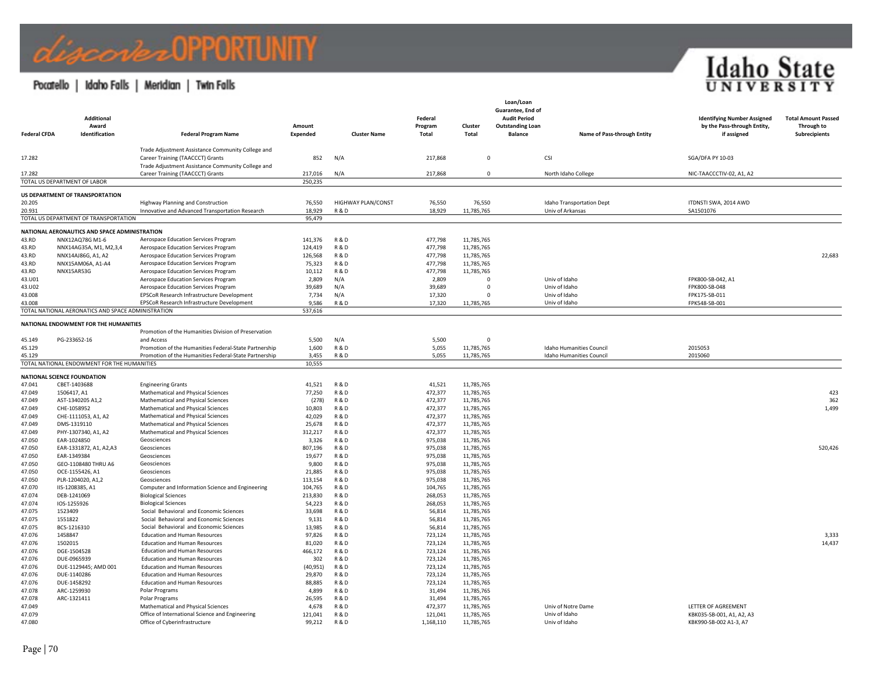### Pocatello | Idaho Falls | Meridian | Twin Falls

| <b>Federal CFDA</b> | <b>Additional</b><br>Award<br>Identification       | <b>Federal Program Name</b>                                                           | Amount<br>Expended | <b>Cluster Name</b>              | Federal<br>Program<br>Total | Cluster<br>Total         | Loan/Loan<br>Guarantee, End of<br><b>Audit Period</b><br><b>Outstanding Loan</b><br><b>Balance</b> | Name of Pass-through Entity     | <b>Identifying Number Assigned</b><br>by the Pass-through Entity,<br>if assigned | <b>Total Amount Passed</b><br>Through to<br>Subrecipients |
|---------------------|----------------------------------------------------|---------------------------------------------------------------------------------------|--------------------|----------------------------------|-----------------------------|--------------------------|----------------------------------------------------------------------------------------------------|---------------------------------|----------------------------------------------------------------------------------|-----------------------------------------------------------|
| 17.282              |                                                    | Trade Adjustment Assistance Community College and<br>Career Training (TAACCCT) Grants | 852                | N/A                              | 217,868                     | $\mathbf 0$              |                                                                                                    | CSI                             | <b>SGA/DFA PY 10-03</b>                                                          |                                                           |
|                     |                                                    | Trade Adjustment Assistance Community College and                                     |                    |                                  |                             |                          |                                                                                                    |                                 |                                                                                  |                                                           |
| 17.282              |                                                    | Career Training (TAACCCT) Grants                                                      | 217,016            | N/A                              | 217,868                     | $\mathbf{0}$             |                                                                                                    | North Idaho College             | NIC-TAACCCTIV-02, A1, A2                                                         |                                                           |
|                     | TOTAL US DEPARTMENT OF LABOR                       |                                                                                       | 250,235            |                                  |                             |                          |                                                                                                    |                                 |                                                                                  |                                                           |
|                     | US DEPARTMENT OF TRANSPORTATION                    |                                                                                       |                    |                                  |                             |                          |                                                                                                    |                                 |                                                                                  |                                                           |
| 20.205              |                                                    | <b>Highway Planning and Construction</b>                                              | 76,550             | <b>HIGHWAY PLAN/CONST</b>        | 76,550                      | 76,550                   |                                                                                                    | Idaho Transportation Dept       | ITDNSTI SWA, 2014 AWD                                                            |                                                           |
| 20.931              |                                                    | Innovative and Advanced Transportation Research                                       | 18,929             | R&D                              | 18,929                      | 11,785,765               |                                                                                                    | Univ of Arkansas                | SA1501076                                                                        |                                                           |
|                     | TOTAL US DEPARTMENT OF TRANSPORTATION              |                                                                                       | 95,479             |                                  |                             |                          |                                                                                                    |                                 |                                                                                  |                                                           |
|                     | NATIONAL AERONAUTICS AND SPACE ADMINISTRATION      |                                                                                       |                    |                                  |                             |                          |                                                                                                    |                                 |                                                                                  |                                                           |
| 43.RD               | NNX12AQ78G M1-6                                    | Aerospace Education Services Program                                                  | 141,376            | <b>R&amp;D</b>                   | 477,798                     | 11,785,765               |                                                                                                    |                                 |                                                                                  |                                                           |
| 43.RD               | NNX14AG35A, M1, M2,3,4                             | Aerospace Education Services Program                                                  | 124,419            | <b>R&amp;D</b>                   | 477,798                     | 11,785,765               |                                                                                                    |                                 |                                                                                  |                                                           |
| 43.RD               | NNX14AJ86G, A1, A2                                 | Aerospace Education Services Program<br>Aerospace Education Services Program          | 126,568            | <b>R&amp;D</b><br><b>R&amp;D</b> | 477,798<br>477,798          | 11,785,765               |                                                                                                    |                                 |                                                                                  | 22,683                                                    |
| 43.RD<br>43.RD      | NNX15AM06A, A1-A4<br>NNX15AR53G                    | Aerospace Education Services Program                                                  | 75,323<br>10,112   | <b>R&amp;D</b>                   | 477,798                     | 11,785,765<br>11,785,765 |                                                                                                    |                                 |                                                                                  |                                                           |
| 43.U01              |                                                    | Aerospace Education Services Program                                                  | 2,809              | N/A                              | 2,809                       | $\Omega$                 |                                                                                                    | Univ of Idaho                   | FPK800-SB-042, A1                                                                |                                                           |
| 43.U02              |                                                    | Aerospace Education Services Program                                                  | 39,689             | N/A                              | 39,689                      | $\mathbf 0$              |                                                                                                    | Univ of Idaho                   | FPK800-SB-048                                                                    |                                                           |
| 43.008              |                                                    | EPSCoR Research Infrastructure Development                                            | 7,734              | N/A                              | 17,320                      | $\Omega$                 |                                                                                                    | Univ of Idaho                   | FPK175-SB-011                                                                    |                                                           |
| 43.008              |                                                    | EPSCoR Research Infrastructure Development                                            | 9,586              | <b>R&amp;D</b>                   | 17,320                      | 11,785,765               |                                                                                                    | Univ of Idaho                   | FPK548-SB-001                                                                    |                                                           |
|                     | TOTAL NATIONAL AERONATICS AND SPACE ADMINISTRATION |                                                                                       | 537,616            |                                  |                             |                          |                                                                                                    |                                 |                                                                                  |                                                           |
|                     | NATIONAL ENDOWMENT FOR THE HUMANITIES              |                                                                                       |                    |                                  |                             |                          |                                                                                                    |                                 |                                                                                  |                                                           |
|                     |                                                    | Promotion of the Humanities Division of Preservation                                  |                    |                                  |                             |                          |                                                                                                    |                                 |                                                                                  |                                                           |
| 45.149              | PG-233652-16                                       | and Access                                                                            | 5,500              | N/A                              | 5,500                       | $\Omega$                 |                                                                                                    |                                 |                                                                                  |                                                           |
| 45.129              |                                                    | Promotion of the Humanities Federal-State Partnership                                 | 1,600              | <b>R&amp;D</b>                   | 5,055                       | 11,785,765               |                                                                                                    | Idaho Humanities Council        | 2015053                                                                          |                                                           |
| 45.129              | TOTAL NATIONAL ENDOWMENT FOR THE HUMANITIES        | Promotion of the Humanities Federal-State Partnership                                 | 3,455<br>10,555    | <b>R&amp;D</b>                   | 5,055                       | 11,785,765               |                                                                                                    | <b>Idaho Humanities Council</b> | 2015060                                                                          |                                                           |
|                     |                                                    |                                                                                       |                    |                                  |                             |                          |                                                                                                    |                                 |                                                                                  |                                                           |
|                     | <b>NATIONAL SCIENCE FOUNDATION</b>                 |                                                                                       |                    |                                  |                             |                          |                                                                                                    |                                 |                                                                                  |                                                           |
| 47.041              | CBET-1403688                                       | <b>Engineering Grants</b>                                                             | 41,521             | <b>R&amp;D</b>                   | 41,521                      | 11,785,765               |                                                                                                    |                                 |                                                                                  |                                                           |
| 47.049              | 1506417, A1                                        | Mathematical and Physical Sciences<br>Mathematical and Physical Sciences              | 77,250             | <b>R&amp;D</b>                   | 472,377<br>472,377          | 11,785,765               |                                                                                                    |                                 |                                                                                  | 423<br>362                                                |
| 47.049<br>47.049    | AST-1340205 A1,2<br>CHE-1058952                    | Mathematical and Physical Sciences                                                    | (278)<br>10,803    | <b>R&amp;D</b><br><b>R&amp;D</b> | 472,377                     | 11,785,765<br>11,785,765 |                                                                                                    |                                 |                                                                                  | 1,499                                                     |
| 47.049              | CHE-1111053, A1, A2                                | Mathematical and Physical Sciences                                                    | 42,029             | <b>R&amp;D</b>                   | 472,377                     | 11,785,765               |                                                                                                    |                                 |                                                                                  |                                                           |
| 47.049              | DMS-1319110                                        | Mathematical and Physical Sciences                                                    | 25,678             | <b>R&amp;D</b>                   | 472,377                     | 11,785,765               |                                                                                                    |                                 |                                                                                  |                                                           |
| 47.049              | PHY-1307340, A1, A2                                | Mathematical and Physical Sciences                                                    | 312,217            | <b>R&amp;D</b>                   | 472,377                     | 11,785,765               |                                                                                                    |                                 |                                                                                  |                                                           |
| 47.050              | EAR-1024850                                        | Geosciences                                                                           | 3,326              | <b>R&amp;D</b>                   | 975,038                     | 11,785,765               |                                                                                                    |                                 |                                                                                  |                                                           |
| 47.050              | EAR-1331872, A1, A2,A3                             | Geosciences                                                                           | 807,196            | <b>R&amp;D</b>                   | 975,038                     | 11,785,765               |                                                                                                    |                                 |                                                                                  | 520,426                                                   |
| 47.050              | EAR-1349384                                        | Geosciences                                                                           | 19,677             | <b>R&amp;D</b>                   | 975,038                     | 11,785,765               |                                                                                                    |                                 |                                                                                  |                                                           |
| 47.050<br>47.050    | GEO-1108480 THRU A6<br>OCE-1155426. A1             | Geosciences<br>Geosciences                                                            | 9,800<br>21,885    | <b>R&amp;D</b><br><b>R&amp;D</b> | 975,038<br>975,038          | 11,785,765               |                                                                                                    |                                 |                                                                                  |                                                           |
| 47.050              | PLR-1204020, A1,2                                  | Geosciences                                                                           | 113,154            | <b>R&amp;D</b>                   | 975,038                     | 11,785,765<br>11,785,765 |                                                                                                    |                                 |                                                                                  |                                                           |
| 47.070              | IIS-1208385, A1                                    | Computer and Information Science and Engineering                                      | 104,765            | <b>R&amp;D</b>                   | 104,765                     | 11,785,765               |                                                                                                    |                                 |                                                                                  |                                                           |
| 47.074              | DEB-1241069                                        | <b>Biological Sciences</b>                                                            | 213,830            | <b>R&amp;D</b>                   | 268,053                     | 11,785,765               |                                                                                                    |                                 |                                                                                  |                                                           |
| 47.074              | IOS-1255926                                        | <b>Biological Sciences</b>                                                            | 54,223             | <b>R&amp;D</b>                   | 268,053                     | 11,785,765               |                                                                                                    |                                 |                                                                                  |                                                           |
| 47.075              | 1523409                                            | Social Behavioral and Economic Sciences                                               | 33,698             | <b>R&amp;D</b>                   | 56,814                      | 11,785,765               |                                                                                                    |                                 |                                                                                  |                                                           |
| 47.075              | 1551822                                            | Social Behavioral and Economic Sciences                                               | 9,131              | <b>R&amp;D</b>                   | 56,814                      | 11,785,765               |                                                                                                    |                                 |                                                                                  |                                                           |
| 47.075              | BCS-1216310                                        | Social Behavioral and Economic Sciences                                               | 13,985             | <b>R&amp;D</b>                   | 56,814                      | 11,785,765               |                                                                                                    |                                 |                                                                                  |                                                           |
| 47.076              | 1458847                                            | <b>Education and Human Resources</b>                                                  | 97,826             | <b>R&amp;D</b>                   | 723,124                     | 11,785,765               |                                                                                                    |                                 |                                                                                  | 3,333                                                     |
| 47.076<br>47.076    | 1502015<br>DGE-1504528                             | <b>Education and Human Resources</b><br><b>Education and Human Resources</b>          | 81,020<br>466,172  | <b>R&amp;D</b><br><b>R&amp;D</b> | 723,124<br>723,124          | 11,785,765<br>11,785,765 |                                                                                                    |                                 |                                                                                  | 14,437                                                    |
| 47.076              | DUE-0965939                                        | <b>Education and Human Resources</b>                                                  | 302                | <b>R&amp;D</b>                   | 723,124                     | 11,785,765               |                                                                                                    |                                 |                                                                                  |                                                           |
| 47.076              | DUE-1129445; AMD 001                               | <b>Education and Human Resources</b>                                                  | (40, 951)          | <b>R&amp;D</b>                   | 723,124                     | 11,785,765               |                                                                                                    |                                 |                                                                                  |                                                           |
| 47.076              | DUE-1140286                                        | <b>Education and Human Resources</b>                                                  | 29,870             | <b>R&amp;D</b>                   | 723,124                     | 11,785,765               |                                                                                                    |                                 |                                                                                  |                                                           |
| 47.076              | DUE-1458292                                        | <b>Education and Human Resources</b>                                                  | 88,885             | <b>R&amp;D</b>                   | 723,124                     | 11,785,765               |                                                                                                    |                                 |                                                                                  |                                                           |
| 47.078              | ARC-1259930                                        | Polar Programs                                                                        | 4,899              | <b>R&amp;D</b>                   | 31,494                      | 11,785,765               |                                                                                                    |                                 |                                                                                  |                                                           |
| 47.078              | ARC-1321411                                        | Polar Programs                                                                        | 26,595             | <b>R&amp;D</b>                   | 31,494                      | 11,785,765               |                                                                                                    |                                 |                                                                                  |                                                           |
| 47.049              |                                                    | Mathematical and Physical Sciences                                                    | 4,678              | <b>R&amp;D</b>                   | 472,377                     | 11,785,765               |                                                                                                    | Univ of Notre Dame              | LETTER OF AGREEMENT                                                              |                                                           |
| 47.079              |                                                    | Office of International Science and Engineering                                       | 121,041            | <b>R&amp;D</b>                   | 121,041                     | 11,785,765               |                                                                                                    | Univ of Idaho                   | KBK035-SB-001, A1, A2, A3                                                        |                                                           |
| 47.080              |                                                    | Office of Cyberinfrastructure                                                         | 99.212             | <b>R&amp;D</b>                   | 1.168.110                   | 11.785.765               |                                                                                                    | Univ of Idaho                   | KBK990-SB-002 A1-3, A7                                                           |                                                           |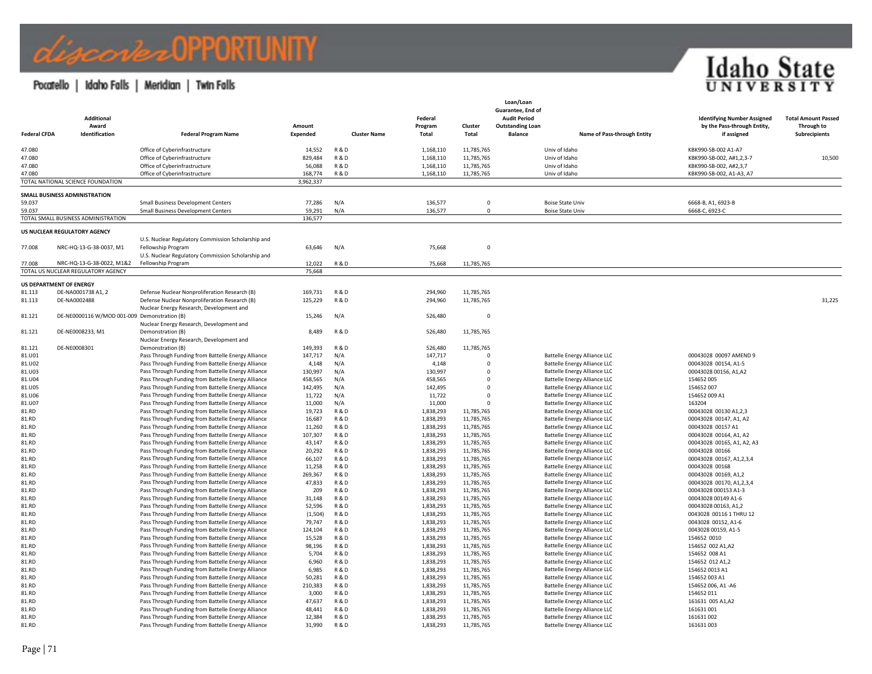### Pocatello | Idaho Falls | Meridian | Twin Falls

| <b>Federal CFDA</b> | <b>Additional</b><br>Award<br>Identification | <b>Federal Program Name</b>                                                                              | Amount<br>Expended | <b>Cluster Name</b>              | Federal<br>Program<br>Total | Cluster<br>Total         | Loan/Loan<br>Guarantee, End of<br><b>Audit Period</b><br><b>Outstanding Loan</b><br><b>Balance</b> | Name of Pass-through Entity                                                | <b>Identifying Number Assigned</b><br>by the Pass-through Entity,<br>if assigned | <b>Total Amount Passed</b><br>Through to<br>Subrecipients |
|---------------------|----------------------------------------------|----------------------------------------------------------------------------------------------------------|--------------------|----------------------------------|-----------------------------|--------------------------|----------------------------------------------------------------------------------------------------|----------------------------------------------------------------------------|----------------------------------------------------------------------------------|-----------------------------------------------------------|
| 47.080              |                                              | Office of Cyberinfrastructure                                                                            | 14,552             | <b>R&amp;D</b>                   | 1,168,110                   | 11,785,765               |                                                                                                    | Univ of Idaho                                                              | KBK990-SB-002 A1-A7                                                              |                                                           |
| 47.080              |                                              | Office of Cyberinfrastructure                                                                            | 829,484            | <b>R&amp;D</b>                   | 1,168,110                   | 11,785,765               |                                                                                                    | Univ of Idaho                                                              | KBK990-SB-002, A#1,2,3-7                                                         | 10,500                                                    |
| 47.080              |                                              | Office of Cyberinfrastructure                                                                            | 56,088             | <b>R&amp;D</b>                   | 1,168,110                   | 11,785,765               |                                                                                                    | Univ of Idaho                                                              | KBK990-SB-002, A#2,3,7                                                           |                                                           |
| 47.080              |                                              | Office of Cyberinfrastructure                                                                            | 168,774            | <b>R&amp;D</b>                   | 1,168,110                   | 11,785,765               |                                                                                                    | Univ of Idaho                                                              | KBK990-SB-002, A1-A3, A7                                                         |                                                           |
|                     | TOTAL NATIONAL SCIENCE FOUNDATION            |                                                                                                          | 3,962,337          |                                  |                             |                          |                                                                                                    |                                                                            |                                                                                  |                                                           |
|                     | SMALL BUSINESS ADMINISTRATION                |                                                                                                          |                    |                                  |                             |                          |                                                                                                    |                                                                            |                                                                                  |                                                           |
| 59.037              |                                              | <b>Small Business Development Centers</b>                                                                | 77,286             | N/A                              | 136,577                     | $\mathbf{0}$             |                                                                                                    | <b>Boise State Univ</b>                                                    | 6668-B, A1, 6923-B                                                               |                                                           |
| 59.037              |                                              | <b>Small Business Development Centers</b>                                                                | 59,291             | N/A                              | 136,577                     | $\Omega$                 |                                                                                                    | <b>Boise State Univ</b>                                                    | 6668-C, 6923-C                                                                   |                                                           |
|                     | TOTAL SMALL BUSINESS ADMINISTRATION          |                                                                                                          | 136,577            |                                  |                             |                          |                                                                                                    |                                                                            |                                                                                  |                                                           |
|                     | US NUCLEAR REGULATORY AGENCY                 |                                                                                                          |                    |                                  |                             |                          |                                                                                                    |                                                                            |                                                                                  |                                                           |
|                     |                                              | U.S. Nuclear Regulatory Commission Scholarship and                                                       |                    |                                  |                             |                          |                                                                                                    |                                                                            |                                                                                  |                                                           |
| 77.008              | NRC-HQ-13-G-38-0037, M1                      | Fellowship Program                                                                                       | 63,646             | N/A                              | 75,668                      | $\overline{0}$           |                                                                                                    |                                                                            |                                                                                  |                                                           |
|                     |                                              | U.S. Nuclear Regulatory Commission Scholarship and                                                       |                    |                                  |                             |                          |                                                                                                    |                                                                            |                                                                                  |                                                           |
| 77.008              | NRC-HQ-13-G-38-0022, M1&2                    | Fellowship Program                                                                                       | 12,022             | <b>R&amp;D</b>                   | 75,668                      | 11,785,765               |                                                                                                    |                                                                            |                                                                                  |                                                           |
|                     | TOTAL US NUCLEAR REGULATORY AGENCY           |                                                                                                          | 75,668             |                                  |                             |                          |                                                                                                    |                                                                            |                                                                                  |                                                           |
|                     | US DEPARTMENT OF ENERGY                      |                                                                                                          |                    |                                  |                             |                          |                                                                                                    |                                                                            |                                                                                  |                                                           |
| 81.113              | DE-NA0001738 A1, 2                           | Defense Nuclear Nonproliferation Research (B)                                                            | 169,731            | <b>R&amp;D</b>                   | 294,960                     | 11,785,765               |                                                                                                    |                                                                            |                                                                                  |                                                           |
| 81.113              | DE-NA0002488                                 | Defense Nuclear Nonproliferation Research (B)                                                            | 125,229            | <b>R&amp;D</b>                   | 294,960                     | 11,785,765               |                                                                                                    |                                                                            |                                                                                  | 31,225                                                    |
|                     |                                              | Nuclear Energy Research, Development and                                                                 |                    |                                  |                             |                          |                                                                                                    |                                                                            |                                                                                  |                                                           |
| 81.121              | DE-NE0000116 W/MOD 001-009 Demonstration (B) |                                                                                                          | 15,246             | N/A                              | 526,480                     | $\overline{0}$           |                                                                                                    |                                                                            |                                                                                  |                                                           |
|                     |                                              | Nuclear Energy Research, Development and                                                                 |                    |                                  |                             |                          |                                                                                                    |                                                                            |                                                                                  |                                                           |
| 81.121              | DE-NE0008233, M1                             | Demonstration (B)                                                                                        | 8,489              | <b>R&amp;D</b>                   | 526,480                     | 11,785,765               |                                                                                                    |                                                                            |                                                                                  |                                                           |
| 81.121              | DE-NE0008301                                 | Nuclear Energy Research, Development and<br>Demonstration (B)                                            | 149,393            | <b>R&amp;D</b>                   | 526,480                     | 11,785,765               |                                                                                                    |                                                                            |                                                                                  |                                                           |
| 81.U01              |                                              | Pass Through Funding from Battelle Energy Alliance                                                       | 147,717            | N/A                              | 147,717                     | $\Omega$                 |                                                                                                    | <b>Battelle Energy Alliance LLC</b>                                        | 00043028 00097 AMEND 9                                                           |                                                           |
| 81.U02              |                                              | Pass Through Funding from Battelle Energy Alliance                                                       | 4,148              | N/A                              | 4,148                       | $^{\circ}$               |                                                                                                    | Battelle Energy Alliance LLC                                               | 00043028 00154, A1-5                                                             |                                                           |
| 81.U03              |                                              | Pass Through Funding from Battelle Energy Alliance                                                       | 130,997            | N/A                              | 130,997                     | $\Omega$                 |                                                                                                    | <b>Battelle Energy Alliance LLC</b>                                        | 00043028 00156, A1,A2                                                            |                                                           |
| 81.U04              |                                              | Pass Through Funding from Battelle Energy Alliance                                                       | 458,565            | N/A                              | 458,565                     | $\mathbf 0$              |                                                                                                    | <b>Battelle Energy Alliance LLC</b>                                        | 154652 005                                                                       |                                                           |
| 81.U05              |                                              | Pass Through Funding from Battelle Energy Alliance                                                       | 142,495            | N/A                              | 142,495                     | $\mathbf 0$              |                                                                                                    | <b>Battelle Energy Alliance LLC</b>                                        | 154652 007                                                                       |                                                           |
| 81.U06              |                                              | Pass Through Funding from Battelle Energy Alliance                                                       | 11,722             | N/A                              | 11,722                      | $\mathbf 0$              |                                                                                                    | <b>Battelle Energy Alliance LLC</b>                                        | 154652 009 A1                                                                    |                                                           |
| 81.U07              |                                              | Pass Through Funding from Battelle Energy Alliance                                                       | 11,000             | N/A                              | 11,000                      | $\Omega$                 |                                                                                                    | <b>Battelle Energy Alliance LLC</b>                                        | 163204                                                                           |                                                           |
| 81.RD               |                                              | Pass Through Funding from Battelle Energy Alliance                                                       | 19,723             | <b>R&amp;D</b>                   | 1,838,293                   | 11,785,765               |                                                                                                    | <b>Battelle Energy Alliance LLC</b>                                        | 00043028 00130 A1,2,3                                                            |                                                           |
| 81.RD               |                                              | Pass Through Funding from Battelle Energy Alliance                                                       | 16,687             | <b>R&amp;D</b>                   | 1,838,293                   | 11,785,765               |                                                                                                    | <b>Battelle Energy Alliance LLC</b>                                        | 00043028 00147, A1, A2                                                           |                                                           |
| 81.RD               |                                              | Pass Through Funding from Battelle Energy Alliance                                                       | 11,260             | <b>R&amp;D</b>                   | 1,838,293                   | 11,785,765               |                                                                                                    | <b>Battelle Energy Alliance LLC</b>                                        | 00043028 00157 A1                                                                |                                                           |
| 81.RD               |                                              | Pass Through Funding from Battelle Energy Alliance                                                       | 107,307            | <b>R&amp;D</b>                   | 1,838,293                   | 11,785,765               |                                                                                                    | <b>Battelle Energy Alliance LLC</b>                                        | 00043028 00164, A1, A2                                                           |                                                           |
| 81.RD               |                                              | Pass Through Funding from Battelle Energy Alliance                                                       | 43,147             | <b>R&amp;D</b>                   | 1,838,293                   | 11,785,765               |                                                                                                    | <b>Battelle Energy Alliance LLC</b>                                        | 00043028 00165, A1, A2, A3                                                       |                                                           |
| 81.RD               |                                              | Pass Through Funding from Battelle Energy Alliance                                                       | 20,292             | <b>R&amp;D</b>                   | 1,838,293                   | 11,785,765               |                                                                                                    | <b>Battelle Energy Alliance LLC</b>                                        | 00043028 00166                                                                   |                                                           |
| 81.RD               |                                              | Pass Through Funding from Battelle Energy Alliance                                                       | 66,107             | <b>R&amp;D</b><br><b>R&amp;D</b> | 1,838,293                   | 11,785,765               |                                                                                                    | <b>Battelle Energy Alliance LLC</b>                                        | 00043028 00167, A1, 2, 3, 4                                                      |                                                           |
| 81.RD<br>81.RD      |                                              | Pass Through Funding from Battelle Energy Alliance<br>Pass Through Funding from Battelle Energy Alliance | 11,258<br>269,367  | <b>R&amp;D</b>                   | 1,838,293<br>1,838,293      | 11,785,765<br>11,785,765 |                                                                                                    | <b>Battelle Energy Alliance LLC</b><br><b>Battelle Energy Alliance LLC</b> | 00043028 00168<br>00043028 00169, A1,2                                           |                                                           |
| 81.RD               |                                              | Pass Through Funding from Battelle Energy Alliance                                                       | 47,833             | <b>R&amp;D</b>                   | 1,838,293                   | 11,785,765               |                                                                                                    | <b>Battelle Energy Alliance LLC</b>                                        | 00043028 00170, A1,2,3,4                                                         |                                                           |
| 81.RD               |                                              | Pass Through Funding from Battelle Energy Alliance                                                       | 209                | <b>R&amp;D</b>                   | 1,838,293                   | 11,785,765               |                                                                                                    | <b>Battelle Energy Alliance LLC</b>                                        | 00043028 000153 A1-3                                                             |                                                           |
| 81.RD               |                                              | Pass Through Funding from Battelle Energy Alliance                                                       | 31,148             | <b>R&amp;D</b>                   | 1,838,293                   | 11,785,765               |                                                                                                    | <b>Battelle Energy Alliance LLC</b>                                        | 00043028 00149 A1-6                                                              |                                                           |
| 81.RD               |                                              | Pass Through Funding from Battelle Energy Alliance                                                       | 52,596             | <b>R&amp;D</b>                   | 1,838,293                   | 11,785,765               |                                                                                                    | <b>Battelle Energy Alliance LLC</b>                                        | 00043028 00163, A1,2                                                             |                                                           |
| 81.RD               |                                              | Pass Through Funding from Battelle Energy Alliance                                                       | (1,504)            | <b>R&amp;D</b>                   | 1,838,293                   | 11,785,765               |                                                                                                    | <b>Battelle Energy Alliance LLC</b>                                        | 0043028 00116 1 THRU 12                                                          |                                                           |
| 81.RD               |                                              | Pass Through Funding from Battelle Energy Alliance                                                       | 79,747             | <b>R&amp;D</b>                   | 1,838,293                   | 11,785,765               |                                                                                                    | <b>Battelle Energy Alliance LLC</b>                                        | 0043028 00152, A1-6                                                              |                                                           |
| 81.RD               |                                              | Pass Through Funding from Battelle Energy Alliance                                                       | 124,104            | <b>R &amp; D</b>                 | 1,838,293                   | 11,785,765               |                                                                                                    | <b>Battelle Energy Alliance LLC</b>                                        | 0043028 00159, A1-5                                                              |                                                           |
| 81.RD               |                                              | Pass Through Funding from Battelle Energy Alliance                                                       | 15,528             | <b>R&amp;D</b>                   | 1,838,293                   | 11,785,765               |                                                                                                    | <b>Battelle Energy Alliance LLC</b>                                        | 154652 0010                                                                      |                                                           |
| 81.RD               |                                              | Pass Through Funding from Battelle Energy Alliance                                                       | 98,196             | <b>R&amp;D</b>                   | 1,838,293                   | 11,785,765               |                                                                                                    | <b>Battelle Energy Alliance LLC</b>                                        | 154652 002 A1,A2                                                                 |                                                           |
| 81.RD               |                                              | Pass Through Funding from Battelle Energy Alliance                                                       | 5,704              | <b>R&amp;D</b>                   | 1,838,293                   | 11,785,765               |                                                                                                    | <b>Battelle Energy Alliance LLC</b>                                        | 154652 008 A1                                                                    |                                                           |
| 81.RD               |                                              | Pass Through Funding from Battelle Energy Alliance                                                       | 6,960              | <b>R&amp;D</b>                   | 1,838,293                   | 11,785,765               |                                                                                                    | <b>Battelle Energy Alliance LLC</b>                                        | 154652 012 A1,2                                                                  |                                                           |
| 81.RD               |                                              | Pass Through Funding from Battelle Energy Alliance                                                       | 6,985              | <b>R&amp;D</b>                   | 1,838,293                   | 11,785,765               |                                                                                                    | <b>Battelle Energy Alliance LLC</b>                                        | 154652 0013 A1                                                                   |                                                           |
| 81.RD               |                                              | Pass Through Funding from Battelle Energy Alliance                                                       | 50,281             | <b>R&amp;D</b>                   | 1,838,293                   | 11,785,765               |                                                                                                    | <b>Battelle Energy Alliance LLC</b>                                        | 154652 003 A1                                                                    |                                                           |
| 81.RD<br>81.RD      |                                              | Pass Through Funding from Battelle Energy Alliance<br>Pass Through Funding from Battelle Energy Alliance | 210,383<br>3,000   | <b>R&amp;D</b><br><b>R&amp;D</b> | 1,838,293<br>1,838,293      | 11,785,765<br>11,785,765 |                                                                                                    | <b>Battelle Energy Alliance LLC</b><br><b>Battelle Energy Alliance LLC</b> | 154652 006, A1-A6<br>154652 011                                                  |                                                           |
| 81.RD               |                                              | Pass Through Funding from Battelle Energy Alliance                                                       | 47,637             | <b>R&amp;D</b>                   | 1,838,293                   | 11,785,765               |                                                                                                    | <b>Battelle Energy Alliance LLC</b>                                        | 161631 005 A1,A2                                                                 |                                                           |
| 81.RD               |                                              | Pass Through Funding from Battelle Energy Alliance                                                       | 48,441             | <b>R&amp;D</b>                   | 1,838,293                   | 11,785,765               |                                                                                                    | <b>Battelle Energy Alliance LLC</b>                                        | 161631 001                                                                       |                                                           |
| 81.RD               |                                              | Pass Through Funding from Battelle Energy Alliance                                                       | 12,384             | <b>R&amp;D</b>                   | 1,838,293                   | 11,785,765               |                                                                                                    | <b>Battelle Energy Alliance LLC</b>                                        | 161631 002                                                                       |                                                           |
| 81.RD               |                                              | Pass Through Funding from Battelle Energy Alliance                                                       | 31.990             | <b>R&amp;D</b>                   | 1.838.293                   | 11.785.765               |                                                                                                    | <b>Battelle Energy Alliance LLC</b>                                        | 161631 003                                                                       |                                                           |

**Idaho State**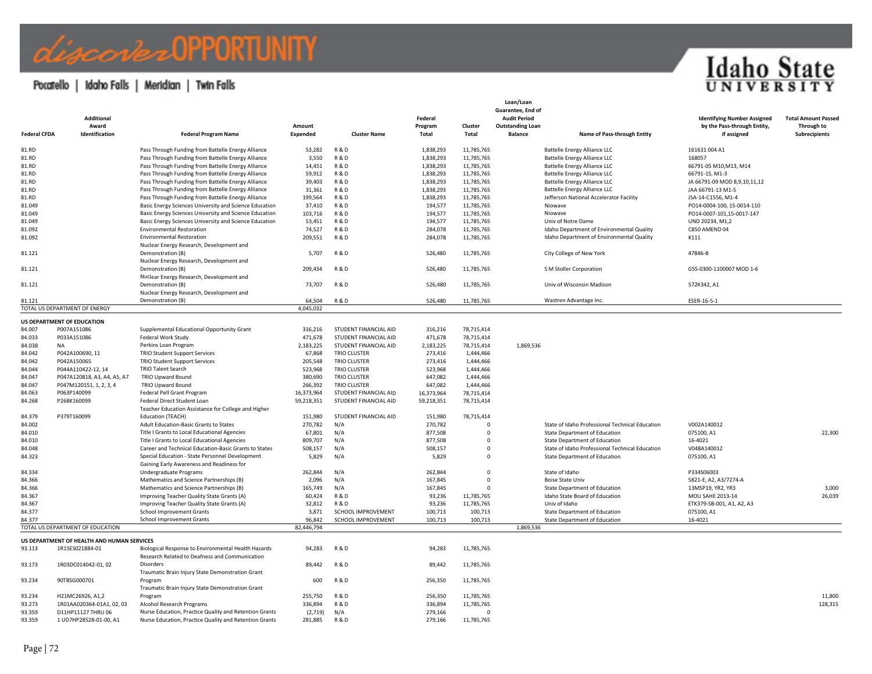## discorbel OPPORTUNITY

### Pocatello | Idaho Falls | Meridian | Twin Falls

| <b>Federal CFDA</b> | <b>Additional</b><br>Award<br>Identification | <b>Federal Program Name</b>                                                                           | Amount<br>Expended | <b>Cluster Name</b>          | Federal<br>Program<br>Total | Cluster<br><b>Total</b> | Loan/Loan<br>Guarantee, End of<br><b>Audit Period</b><br><b>Outstanding Loan</b><br><b>Balance</b> | Name of Pass-through Entity                     | <b>Identifying Number Assigned</b><br>by the Pass-through Entity,<br>if assigned | <b>Total Amount Passed</b><br>Through to<br>Subrecipients |
|---------------------|----------------------------------------------|-------------------------------------------------------------------------------------------------------|--------------------|------------------------------|-----------------------------|-------------------------|----------------------------------------------------------------------------------------------------|-------------------------------------------------|----------------------------------------------------------------------------------|-----------------------------------------------------------|
| 81.RD               |                                              | Pass Through Funding from Battelle Energy Alliance                                                    | 53,282             | <b>R&amp;D</b>               | 1,838,293                   | 11,785,765              |                                                                                                    | <b>Battelle Energy Alliance LLC</b>             | 161631004A1                                                                      |                                                           |
| 81.RD               |                                              | Pass Through Funding from Battelle Energy Alliance                                                    | 3,550              | <b>R&amp;D</b>               | 1,838,293                   | 11,785,765              |                                                                                                    | <b>Battelle Energy Alliance LLC</b>             | 168057                                                                           |                                                           |
| 81.RD               |                                              | Pass Through Funding from Battelle Energy Alliance                                                    | 14,451             | R & D                        | 1,838,293                   | 11,785,765              |                                                                                                    | <b>Battelle Energy Alliance LLC</b>             | 66791-05 M10, M13, M14                                                           |                                                           |
| 81.RD               |                                              | Pass Through Funding from Battelle Energy Alliance                                                    | 59,912             | <b>R&amp;D</b>               | 1,838,293                   | 11,785,765              |                                                                                                    | Battelle Energy Alliance LLC                    | 66791-15. M1-3                                                                   |                                                           |
| 81.RD               |                                              | Pass Through Funding from Battelle Energy Alliance                                                    | 39,403             | <b>R&amp;D</b>               | 1,838,293                   | 11,785,765              |                                                                                                    | <b>Battelle Energy Alliance LLC</b>             | JA 66791-09 MOD 8,9,10,11,12                                                     |                                                           |
| 81.RD               |                                              | Pass Through Funding from Battelle Energy Alliance                                                    | 31,361             | <b>R&amp;D</b>               | 1,838,293                   | 11,785,765              |                                                                                                    | <b>Battelle Energy Alliance LLC</b>             | JAA 66791-13 M1-5                                                                |                                                           |
| 81.RD               |                                              | Pass Through Funding from Battelle Energy Alliance                                                    | 199,564            | R&D                          | 1,838,293                   | 11,785,765              |                                                                                                    | Jefferson National Accelerator Facility         | JSA-14-C1556, M1-4                                                               |                                                           |
| 81.049              |                                              | Basic Energy Sciences University and Science Education                                                | 37,410             | <b>R&amp;D</b>               | 194,577                     | 11,785,765              |                                                                                                    | Niowave                                         | PO14-0004-100, 15-0014-110                                                       |                                                           |
| 81.049              |                                              | Basic Energy Sciences University and Science Education                                                | 103,716            | <b>R&amp;D</b>               | 194,577                     | 11,785,765              |                                                                                                    | Niowave                                         | PO14-0007-101,15-0017-147                                                        |                                                           |
| 81.049              |                                              | Basic Energy Sciences University and Science Education                                                | 53,451             | <b>R&amp;D</b>               | 194,577                     | 11,785,765              |                                                                                                    | Univ of Notre Dame                              | UND 20234, M1.2                                                                  |                                                           |
| 81.092              |                                              | <b>Environmental Restoration</b>                                                                      | 74,527             | R & D                        | 284,078                     | 11,785,765              |                                                                                                    | Idaho Department of Environmental Quality       | <b>C850 AMEND 04</b>                                                             |                                                           |
| 81.092              |                                              | <b>Environmental Restoration</b>                                                                      | 209,551            | <b>R&amp;D</b>               | 284,078                     | 11,785,765              |                                                                                                    | Idaho Department of Environmental Quality       | K111                                                                             |                                                           |
|                     |                                              | Nuclear Energy Research, Development and                                                              |                    |                              |                             |                         |                                                                                                    |                                                 |                                                                                  |                                                           |
| 81.121              |                                              | Demonstration (B)                                                                                     | 5,707              | <b>R&amp;D</b>               | 526,480                     | 11,785,765              |                                                                                                    | City College of New York                        | 47846-B                                                                          |                                                           |
|                     |                                              | Nuclear Energy Research, Development and                                                              |                    |                              |                             |                         |                                                                                                    |                                                 |                                                                                  |                                                           |
| 81.121              |                                              | Demonstration (B)                                                                                     | 209,434            | <b>R&amp;D</b>               | 526,480                     | 11,785,765              |                                                                                                    | S M Stoller Corporation                         | GSS-0300-1100007 MOD 1-6                                                         |                                                           |
|                     |                                              | Nuclear Energy Research, Development and                                                              |                    |                              |                             |                         |                                                                                                    |                                                 |                                                                                  |                                                           |
| 81.121              |                                              | Demonstration (B)                                                                                     | 73,707             | <b>R&amp;D</b>               | 526,480                     | 11,785,765              |                                                                                                    | Univ of Wisconsin Madison                       | 572K342.A1                                                                       |                                                           |
|                     |                                              | Nuclear Energy Research, Development and                                                              |                    |                              |                             |                         |                                                                                                    |                                                 |                                                                                  |                                                           |
| 81.121              |                                              | Demonstration (B)                                                                                     | 64,504             | <b>R&amp;D</b>               | 526,480                     | 11,785,765              |                                                                                                    | Wastren Advantage Inc.                          | ESER-16-5-1                                                                      |                                                           |
|                     | TOTAL US DEPARTMENT OF ENERGY                |                                                                                                       | 4,045,032          |                              |                             |                         |                                                                                                    |                                                 |                                                                                  |                                                           |
|                     | US DEPARTMENT OF EDUCATION                   |                                                                                                       |                    |                              |                             |                         |                                                                                                    |                                                 |                                                                                  |                                                           |
| 84.007              | P007A151086                                  | Supplemental Educational Opportunity Grant                                                            | 316,216            | STUDENT FINANCIAL AID        | 316,216                     | 78,715,414              |                                                                                                    |                                                 |                                                                                  |                                                           |
| 84.033              | P033A151086                                  | Federal Work Study                                                                                    | 471,678            | <b>STUDENT FINANCIAL AID</b> | 471,678                     | 78,715,414              |                                                                                                    |                                                 |                                                                                  |                                                           |
| 84.038              | <b>NA</b>                                    | Perkins Loan Program                                                                                  | 2,183,225          | STUDENT FINANCIAL AID        | 2,183,225                   | 78,715,414              | 1,869,536                                                                                          |                                                 |                                                                                  |                                                           |
| 84.042              | P042A100690, 11                              | <b>TRIO Student Support Services</b>                                                                  | 67,868             | <b>TRIO CLUSTER</b>          | 273,416                     | 1,444,466               |                                                                                                    |                                                 |                                                                                  |                                                           |
| 84.042              | P042A150065                                  | <b>TRIO Student Support Services</b>                                                                  | 205,548            | <b>TRIO CLUSTER</b>          | 273,416                     | 1,444,466               |                                                                                                    |                                                 |                                                                                  |                                                           |
| 84.044              | P044A110422-12, 14                           | <b>TRIO Talent Search</b>                                                                             | 523,968            | <b>TRIO CLUSTER</b>          | 523,968                     | 1,444,466               |                                                                                                    |                                                 |                                                                                  |                                                           |
| 84.047              | P047A120818, A3, A4, A5, A7                  | TRIO Upward Bound                                                                                     | 380,690            | <b>TRIO CLUSTER</b>          | 647,082                     | 1,444,466               |                                                                                                    |                                                 |                                                                                  |                                                           |
| 84.047              | P047M120151, 1, 2, 3, 4                      | TRIO Upward Bound                                                                                     | 266,392            | <b>TRIO CLUSTER</b>          | 647,082                     | 1,444,466               |                                                                                                    |                                                 |                                                                                  |                                                           |
| 84.063              | P063P140099                                  | Federal Pell Grant Program                                                                            | 16,373,964         | STUDENT FINANCIAL AID        | 16,373,964                  | 78,715,414              |                                                                                                    |                                                 |                                                                                  |                                                           |
|                     | P268K160099                                  | Federal Direct Student Loan                                                                           | 59,218,351         | STUDENT FINANCIAL AID        | 59,218,351                  | 78,715,414              |                                                                                                    |                                                 |                                                                                  |                                                           |
| 84.268              |                                              | Teacher Education Assistance for College and Higher                                                   |                    |                              |                             |                         |                                                                                                    |                                                 |                                                                                  |                                                           |
| 84.379              | P379T160099                                  | Education (TEACH)                                                                                     | 151,980            | STUDENT FINANCIAL AID        | 151,980                     | 78,715,414              |                                                                                                    |                                                 |                                                                                  |                                                           |
| 84.002              |                                              | Adult Education-Basic Grants to States                                                                | 270,782            | N/A                          | 270,782                     | $\Omega$                |                                                                                                    | State of Idaho Professional Technical Education | V002A140012                                                                      |                                                           |
| 84.010              |                                              | Title I Grants to Local Educational Agencies                                                          | 67,801             | N/A                          | 877,508                     | $\mathbf{0}$            |                                                                                                    | State Department of Education                   | 075100, A1                                                                       | 22,300                                                    |
| 84.010              |                                              | Title I Grants to Local Educational Agencies                                                          | 809,707            | N/A                          | 877.508                     | $\Omega$                |                                                                                                    | State Department of Education                   | 16-4021                                                                          |                                                           |
| 84.048              |                                              | Career and Technical Education-Basic Grants to States                                                 | 508,157            | N/A                          | 508,157                     | $\Omega$                |                                                                                                    | State of Idaho Professional Technical Education | V048A140012                                                                      |                                                           |
| 84.323              |                                              | Special Education - State Personnel Development                                                       | 5,829              | N/A                          | 5,829                       | $\mathbf{0}$            |                                                                                                    | <b>State Department of Education</b>            | 075100, A1                                                                       |                                                           |
|                     |                                              | Gaining Early Awareness and Readiness for                                                             |                    |                              |                             |                         |                                                                                                    |                                                 |                                                                                  |                                                           |
| 84.334              |                                              | Undergraduate Programs                                                                                | 262,844            | N/A                          | 262,844                     | $\Omega$                |                                                                                                    | State of Idaho                                  | P334S06003                                                                       |                                                           |
| 84.366              |                                              | Mathematics and Science Partnerships (B)                                                              | 2,096              | N/A                          | 167,845                     | $\Omega$                |                                                                                                    | <b>Boise State Univ</b>                         | 5821-E, A2, A3/7274-A                                                            |                                                           |
| 84.366              |                                              | Mathematics and Science Partnerships (B)                                                              | 165,749            | N/A                          | 167.845                     | $\Omega$                |                                                                                                    | <b>State Department of Education</b>            | 13MSP19, YR2, YR3                                                                | 3,000                                                     |
| 84.367              |                                              | Improving Teacher Quality State Grants (A)                                                            | 60,424             | <b>R&amp;D</b>               | 93,236                      | 11,785,765              |                                                                                                    | Idaho State Board of Education                  | MOU SAHE 2013-14                                                                 | 26,039                                                    |
| 84.367              |                                              | Improving Teacher Quality State Grants (A)                                                            | 32,812             | <b>R&amp;D</b>               | 93,236                      | 11,785,765              |                                                                                                    | Univ of Idaho                                   | ETK379-SB-001, A1, A2, A3                                                        |                                                           |
| 84.377              |                                              | School Improvement Grants                                                                             | 3,871              | SCHOOL IMPROVEMENT           | 100,713                     | 100,713                 |                                                                                                    | State Department of Education                   | 075100, A1                                                                       |                                                           |
| 84.377              |                                              | <b>School Improvement Grants</b>                                                                      | 96.842             | SCHOOL IMPROVEMENT           | 100,713                     | 100,713                 |                                                                                                    | <b>State Department of Education</b>            | 16-4021                                                                          |                                                           |
|                     | TOTAL US DEPARTMENT OF EDUCATION             |                                                                                                       | 82,446,794         |                              |                             |                         | 1,869,536                                                                                          |                                                 |                                                                                  |                                                           |
|                     |                                              |                                                                                                       |                    |                              |                             |                         |                                                                                                    |                                                 |                                                                                  |                                                           |
|                     | US DEPARTMENT OF HEALTH AND HUMAN SERVICES   |                                                                                                       |                    |                              |                             |                         |                                                                                                    |                                                 |                                                                                  |                                                           |
| 93.113              | 1R15ES021884-01                              | Biological Response to Environmental Health Hazards<br>Research Related to Deafness and Communication | 94,283             | <b>R&amp;D</b>               | 94,283                      | 11,785,765              |                                                                                                    |                                                 |                                                                                  |                                                           |
| 93.173              | 1R03DC014042-01, 02                          | Disorders<br>Traumatic Brain Injury State Demonstration Grant                                         | 89,442             | <b>R&amp;D</b>               | 89,442                      | 11,785,765              |                                                                                                    |                                                 |                                                                                  |                                                           |
| 93.234              | 90TBSG000701                                 | Program                                                                                               | 600                | <b>R&amp;D</b>               | 256,350                     | 11,785,765              |                                                                                                    |                                                 |                                                                                  |                                                           |
|                     |                                              | Traumatic Brain Injury State Demonstration Grant                                                      |                    |                              |                             |                         |                                                                                                    |                                                 |                                                                                  |                                                           |
| 93.234              | H21MC26926, A1,2                             | Program                                                                                               | 255,750            | <b>R&amp;D</b>               | 256,350                     | 11,785,765              |                                                                                                    |                                                 |                                                                                  | 11,800                                                    |
| 93.273              | 1R01AA020364-01A1, 02, 03                    | Alcohol Research Programs                                                                             | 336,894            | <b>R&amp;D</b>               | 336,894                     | 11,785,765              |                                                                                                    |                                                 |                                                                                  | 128,315                                                   |
| 93.359              | D11HP11127 THRU 06                           | Nurse Education, Practice Quality and Retention Grants                                                | (2,719)            | N/A                          | 279,166                     | $\mathbf{0}$            |                                                                                                    |                                                 |                                                                                  |                                                           |
| 93.359              | 1 UD7HP28528-01-00, A1                       | Nurse Education, Practice Quality and Retention Grants                                                | 281,885            | <b>R&amp;D</b>               | 279,166                     | 11,785,765              |                                                                                                    |                                                 |                                                                                  |                                                           |

**Idaho State**